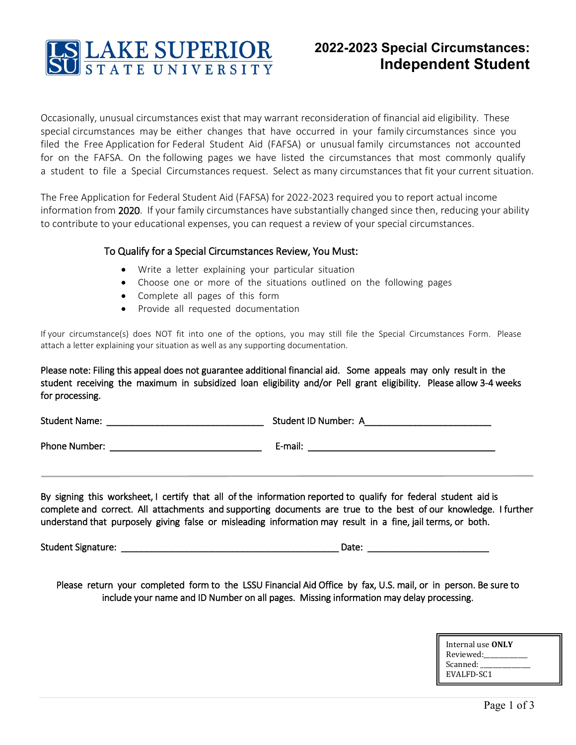

# **2022-2023 Special Circumstances: Independent Student**

Occasionally, unusual circumstances exist that may warrant reconsideration of financial aid eligibility. These special circumstances may be either changes that have occurred in your family circumstances since you filed the Free Application for Federal Student Aid (FAFSA) or unusual family circumstances not accounted for on the FAFSA. On the following pages we have listed the circumstances that most commonly qualify a student to file a Special Circumstances request. Select as many circumstances that fit your current situation.

The Free Application for Federal Student Aid (FAFSA) for 2022-2023 required you to report actual income information from 2020. If your family circumstances have substantially changed since then, reducing your ability to contribute to your educational expenses, you can request a review of your special circumstances.

### To Qualify for a Special Circumstances Review, You Must:

- Write a letter explaining your particular situation
- Choose one or more of the situations outlined on the following pages
- Complete all pages of this form
- Provide all requested documentation

If your circumstance(s) does NOT fit into one of the options, you may still file the Special Circumstances Form. Please attach a letter explaining your situation as well as any supporting documentation.

Please note: Filing this appeal does not guarantee additional financial aid. Some appeals may only result in the student receiving the maximum in subsidized loan eligibility and/or Pell grant eligibility. Please allow 3-4 weeks for processing.

Student Name: \_\_\_\_\_\_\_\_\_\_\_\_\_\_\_\_\_\_\_\_\_\_\_\_\_\_\_\_\_\_\_ Student ID Number: A\_\_\_\_\_\_\_\_\_\_\_\_\_\_\_\_\_\_\_\_\_\_\_\_\_

Phone Number: \_\_\_\_\_\_\_\_\_\_\_\_\_\_\_\_\_\_\_\_\_\_\_\_\_\_\_\_\_\_ E-mail: \_\_\_\_\_\_\_\_\_\_\_\_\_\_\_\_\_\_\_\_\_\_\_\_\_\_\_\_\_\_\_\_\_\_\_\_\_

By signing this worksheet, I certify that all of the information reported to qualify for federal student aid is complete and correct. All attachments and supporting documents are true to the best of our knowledge. I further understand that purposely giving false or misleading information may result in a fine, jail terms, or both.

Student Signature: \_\_\_\_\_\_\_\_\_\_\_\_\_\_\_\_\_\_\_\_\_\_\_\_\_\_\_\_\_\_\_\_\_\_\_\_\_\_\_\_\_\_\_ Date: \_\_\_\_\_\_\_\_\_\_\_\_\_\_\_\_\_\_\_\_\_\_\_\_

Please return your completed form to the LSSU Financial Aid Office by fax, U.S. mail, or in person. Be sure to include your name and ID Number on all pages. Missing information may delay processing.

| Internal use ONLY |  |
|-------------------|--|
| Reviewed:         |  |
| Scanned:          |  |
| EVALFD-SC1        |  |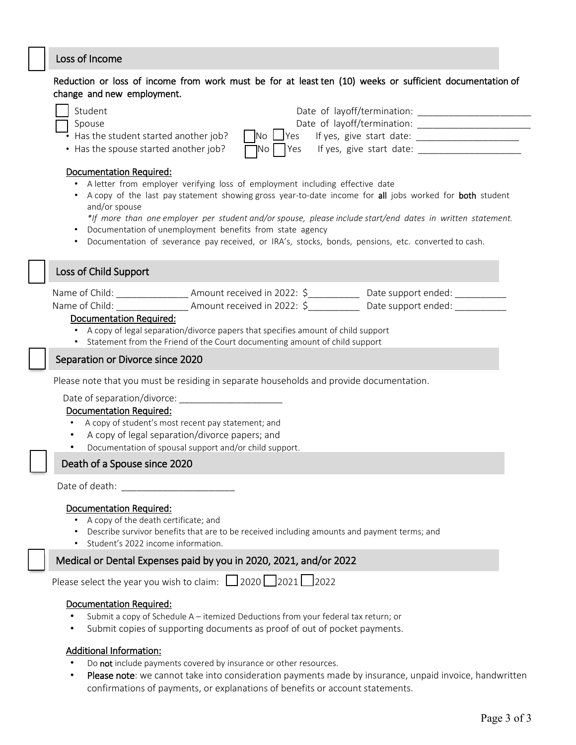## Loss of Income

## Reduction or loss of income from work must be for at least ten (10) weeks or sufficient documentation of change and new employment.

| Student<br>Date of layoff/termination:<br>Date of layoff/termination:<br>Spouse<br>$\cdot$ Has the student started another job?<br>$No \cup Yes$<br>$\gamma$ Yes If yes, give start date:<br>• Has the spouse started another job?<br> No                                                                                                                                                                                                                                                                            |
|----------------------------------------------------------------------------------------------------------------------------------------------------------------------------------------------------------------------------------------------------------------------------------------------------------------------------------------------------------------------------------------------------------------------------------------------------------------------------------------------------------------------|
| Documentation Required:<br>A letter from employer verifying loss of employment including effective date<br>A copy of the last pay statement showing gross year-to-date income for all jobs worked for both student<br>and/or spouse<br>*If more than one employer per student and/or spouse, please include start/end dates in written statement.<br>Documentation of unemployment benefits from state agency<br>Documentation of severance pay received, or IRA's, stocks, bonds, pensions, etc. converted to cash. |
| Loss of Child Support                                                                                                                                                                                                                                                                                                                                                                                                                                                                                                |
| Name of Child: ________________________Amount received in 2022: \$_______________ Date support ended: __________<br><b>Documentation Required:</b><br>• A copy of legal separation/divorce papers that specifies amount of child support<br>Statement from the Friend of the Court documenting amount of child support                                                                                                                                                                                               |
| Separation or Divorce since 2020                                                                                                                                                                                                                                                                                                                                                                                                                                                                                     |
| Please note that you must be residing in separate households and provide documentation.<br>Date of separation/divorce: _______________________<br><b>Documentation Required:</b><br>A copy of student's most recent pay statement; and<br>$\bullet$<br>A copy of legal separation/divorce papers; and<br>Documentation of spousal support and/or child support.<br>$\bullet$                                                                                                                                         |
| Death of a Spouse since 2020                                                                                                                                                                                                                                                                                                                                                                                                                                                                                         |
| Date of death:<br><b>Documentation Required:</b><br>• A copy of the death certificate; and<br>Describe survivor benefits that are to be received including amounts and payment terms; and<br>Student's 2022 income information.                                                                                                                                                                                                                                                                                      |
| Medical or Dental Expenses paid by you in 2020, 2021, and/or 2022                                                                                                                                                                                                                                                                                                                                                                                                                                                    |
| Please select the year you wish to claim: $\Box$ 2020 $\Box$ 2021 $\Box$ 2022<br><b>Documentation Required:</b><br>Submit a copy of Schedule A - itemized Deductions from your federal tax return; or                                                                                                                                                                                                                                                                                                                |

• Submit copies of supporting documents as proof of out of pocket payments.

# Additional Information:

- Do not include payments covered by insurance or other resources.
- Please note: we cannot take into consideration payments made by insurance, unpaid invoice, handwritten confirmations of payments, or explanations of benefits or account statements.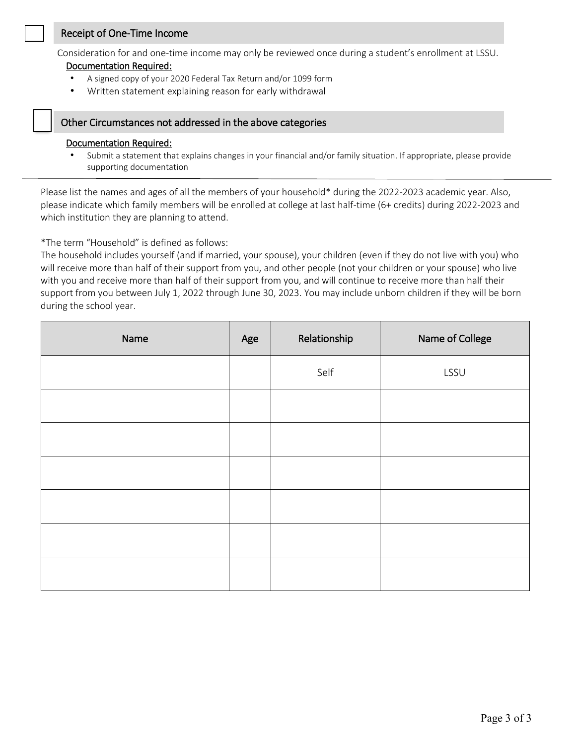#### Receipt of One-Time Income

Consideration for and one-time income may only be reviewed once during a student's enrollment at LSSU.

#### Documentation Required:

֖֚֚֬֝֬֝֬֝֬֝֬֝

- A signed copy of your 2020 Federal Tax Return and/or 1099 form
- Written statement explaining reason for early withdrawal

#### Other Circumstances not addressed in the above categories

#### Documentation Required:

• Submit a statement that explains changes in your financial and/or family situation. If appropriate, please provide supporting documentation

Please list the names and ages of all the members of your household\* during the 2022-2023 academic year. Also, please indicate which family members will be enrolled at college at last half-time (6+ credits) during 2022-2023 and which institution they are planning to attend.

\*The term "Household" is defined as follows:

The household includes yourself (and if married, your spouse), your children (even if they do not live with you) who will receive more than half of their support from you, and other people (not your children or your spouse) who live with you and receive more than half of their support from you, and will continue to receive more than half their support from you between July 1, 2022 through June 30, 2023. You may include unborn children if they will be born during the school year.

| Name | Age | Relationship | Name of College |
|------|-----|--------------|-----------------|
|      |     | Self         | LSSU            |
|      |     |              |                 |
|      |     |              |                 |
|      |     |              |                 |
|      |     |              |                 |
|      |     |              |                 |
|      |     |              |                 |